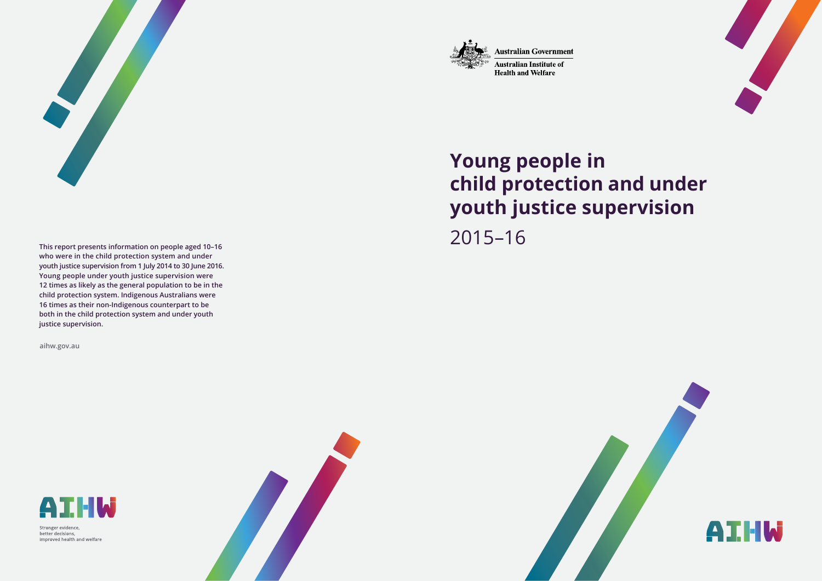

**Australian Government** 

**Australian Institute of Health and Welfare** 



# **Young people in child protection and under youth justice supervision**  2015–16

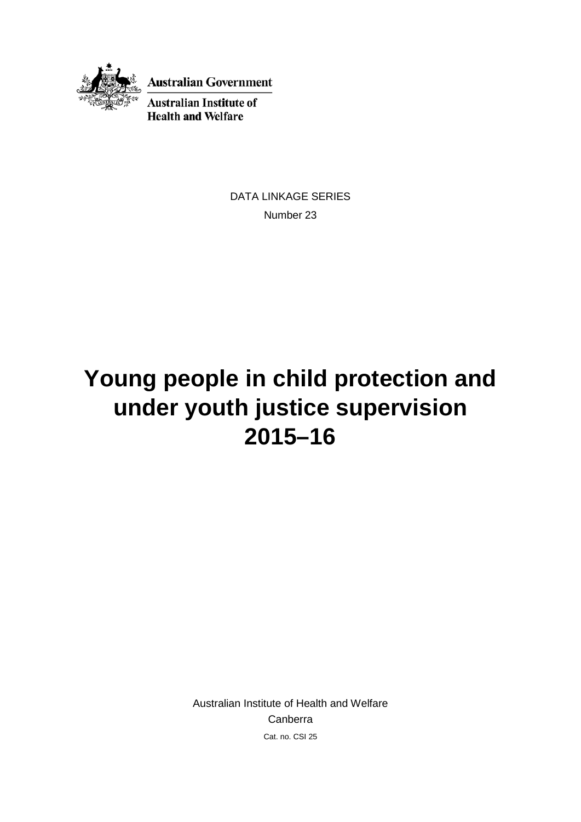

**Australian Government** 

**Australian Institute of Health and Welfare** 

> DATA LINKAGE SERIES Number 23

# **Young people in child protection and under youth justice supervision 2015–16**

Australian Institute of Health and Welfare Canberra Cat. no. CSI 25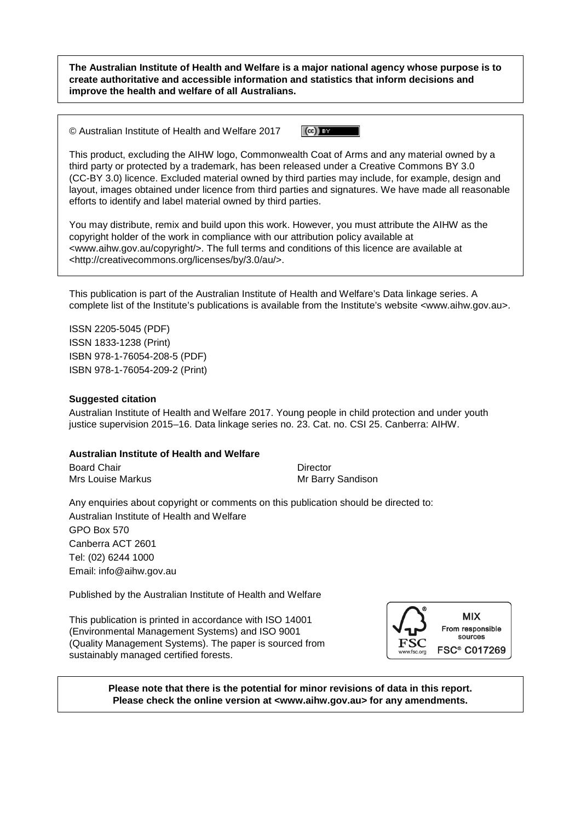**The Australian Institute of Health and Welfare is a major national agency whose purpose is to create authoritative and accessible information and statistics that inform decisions and improve the health and welfare of all Australians.**

© Australian Institute of Health and Welfare 2017

 $(cc)$  BY

This product, excluding the AIHW logo, Commonwealth Coat of Arms and any material owned by a third party or protected by a trademark, has been released under a Creative Commons BY 3.0 (CC-BY 3.0) licence. Excluded material owned by third parties may include, for example, design and layout, images obtained under licence from third parties and signatures. We have made all reasonable efforts to identify and label material owned by third parties.

You may distribute, remix and build upon this work. However, you must attribute the AIHW as the copyright holder of the work in compliance with our attribution policy available at <www.aihw.gov.au/copyright/>. The full terms and conditions of this licence are available at <http://creativecommons.org/licenses/by/3.0/au/>.

This publication is part of the Australian Institute of Health and Welfare's Data linkage series. A complete list of the Institute's publications is available from the Institute's website <www.aihw.gov.au>.

ISSN 2205-5045 (PDF) ISSN 1833-1238 (Print) ISBN 978-1-76054-208-5 (PDF) ISBN 978-1-76054-209-2 (Print)

#### **Suggested citation**

Australian Institute of Health and Welfare 2017. Young people in child protection and under youth justice supervision 2015–16. Data linkage series no. 23. Cat. no. CSI 25. Canberra: AIHW.

#### **Australian Institute of Health and Welfare**

Board Chair **Director Director** Mrs Louise Markus **Mrs** Annual Mr Barry Sandison

Any enquiries about copyright or comments on this publication should be directed to: Australian Institute of Health and Welfare GPO Box 570 Canberra ACT 2601 Tel: (02) 6244 1000 Email: info@aihw.gov.au

Published by the Australian Institute of Health and Welfare

This publication is printed in accordance with ISO 14001 (Environmental Management Systems) and ISO 9001 (Quality Management Systems). The paper is sourced from sustainably managed certified forests.



**Please note that there is the potential for minor revisions of data in this report. Please check the online version at <www.aihw.gov.au> for any amendments.**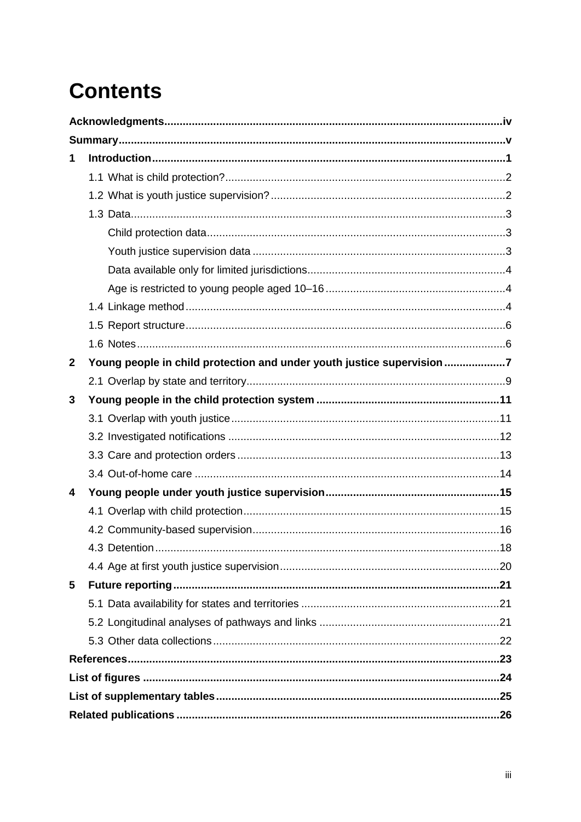# **Contents**

| 1                |                                                                        |  |  |
|------------------|------------------------------------------------------------------------|--|--|
|                  |                                                                        |  |  |
|                  |                                                                        |  |  |
|                  |                                                                        |  |  |
|                  |                                                                        |  |  |
|                  |                                                                        |  |  |
|                  |                                                                        |  |  |
|                  |                                                                        |  |  |
|                  |                                                                        |  |  |
|                  |                                                                        |  |  |
|                  |                                                                        |  |  |
| $\boldsymbol{2}$ | Young people in child protection and under youth justice supervision 7 |  |  |
|                  |                                                                        |  |  |
| 3                |                                                                        |  |  |
|                  |                                                                        |  |  |
|                  |                                                                        |  |  |
|                  |                                                                        |  |  |
|                  |                                                                        |  |  |
| 4                |                                                                        |  |  |
|                  |                                                                        |  |  |
|                  |                                                                        |  |  |
|                  | 18                                                                     |  |  |
|                  |                                                                        |  |  |
| 5                |                                                                        |  |  |
|                  |                                                                        |  |  |
|                  |                                                                        |  |  |
|                  |                                                                        |  |  |
|                  |                                                                        |  |  |
|                  |                                                                        |  |  |
|                  |                                                                        |  |  |
|                  |                                                                        |  |  |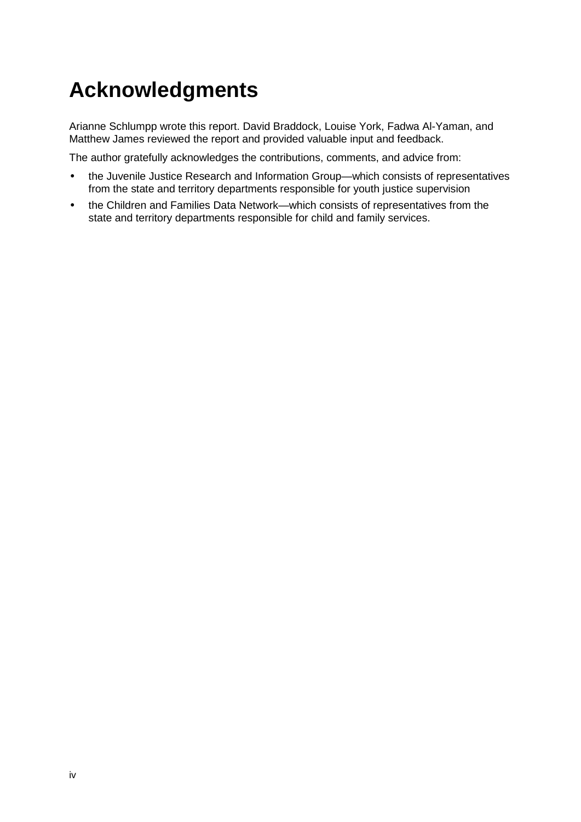# <span id="page-5-0"></span>**Acknowledgments**

Arianne Schlumpp wrote this report. David Braddock, Louise York, Fadwa Al-Yaman, and Matthew James reviewed the report and provided valuable input and feedback.

The author gratefully acknowledges the contributions, comments, and advice from:

- the Juvenile Justice Research and Information Group—which consists of representatives from the state and territory departments responsible for youth justice supervision
- the Children and Families Data Network—which consists of representatives from the state and territory departments responsible for child and family services.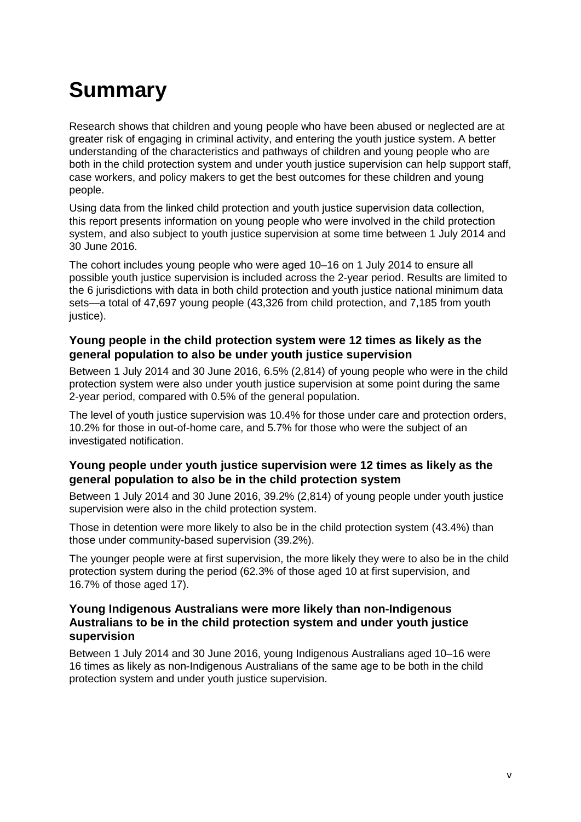# <span id="page-6-0"></span>**Summary**

Research shows that children and young people who have been abused or neglected are at greater risk of engaging in criminal activity, and entering the youth justice system. A better understanding of the characteristics and pathways of children and young people who are both in the child protection system and under youth justice supervision can help support staff, case workers, and policy makers to get the best outcomes for these children and young people.

Using data from the linked child protection and youth justice supervision data collection, this report presents information on young people who were involved in the child protection system, and also subject to youth justice supervision at some time between 1 July 2014 and 30 June 2016.

The cohort includes young people who were aged 10–16 on 1 July 2014 to ensure all possible youth justice supervision is included across the 2-year period. Results are limited to the 6 jurisdictions with data in both child protection and youth justice national minimum data sets—a total of 47,697 young people (43,326 from child protection, and 7,185 from youth justice).

### **Young people in the child protection system were 12 times as likely as the general population to also be under youth justice supervision**

Between 1 July 2014 and 30 June 2016, 6.5% (2,814) of young people who were in the child protection system were also under youth justice supervision at some point during the same 2-year period, compared with 0.5% of the general population.

The level of youth justice supervision was 10.4% for those under care and protection orders, 10.2% for those in out-of-home care, and 5.7% for those who were the subject of an investigated notification.

### **Young people under youth justice supervision were 12 times as likely as the general population to also be in the child protection system**

Between 1 July 2014 and 30 June 2016, 39.2% (2,814) of young people under youth justice supervision were also in the child protection system.

Those in detention were more likely to also be in the child protection system (43.4%) than those under community-based supervision (39.2%).

The younger people were at first supervision, the more likely they were to also be in the child protection system during the period (62.3% of those aged 10 at first supervision, and 16.7% of those aged 17).

#### **Young Indigenous Australians were more likely than non-Indigenous Australians to be in the child protection system and under youth justice supervision**

Between 1 July 2014 and 30 June 2016, young Indigenous Australians aged 10–16 were 16 times as likely as non-Indigenous Australians of the same age to be both in the child protection system and under youth justice supervision.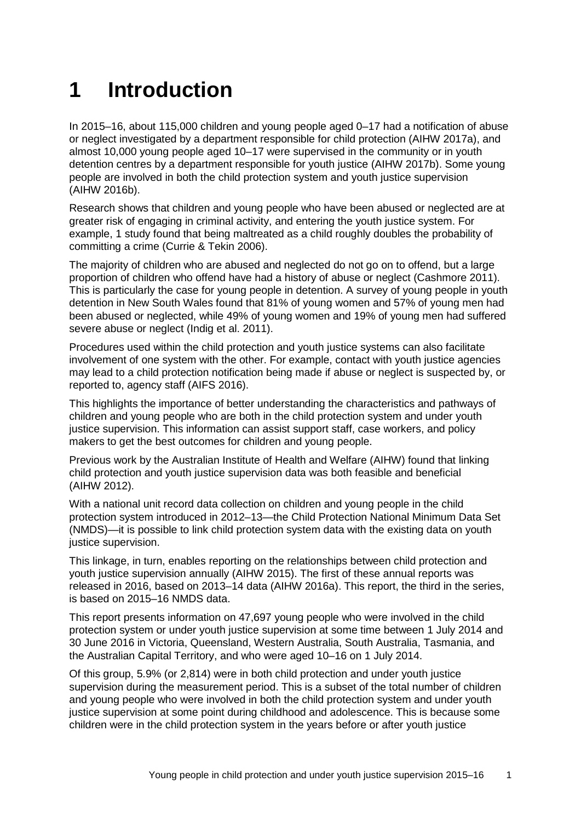## <span id="page-8-0"></span>**1 Introduction**

In 2015–16, about 115,000 children and young people aged 0–17 had a notification of abuse or neglect investigated by a department responsible for child protection (AIHW 2017a), and almost 10,000 young people aged 10–17 were supervised in the community or in youth detention centres by a department responsible for youth justice (AIHW 2017b). Some young people are involved in both the child protection system and youth justice supervision (AIHW 2016b).

Research shows that children and young people who have been abused or neglected are at greater risk of engaging in criminal activity, and entering the youth justice system. For example, 1 study found that being maltreated as a child roughly doubles the probability of committing a crime (Currie & Tekin 2006).

The majority of children who are abused and neglected do not go on to offend, but a large proportion of children who offend have had a history of abuse or neglect (Cashmore 2011). This is particularly the case for young people in detention. A survey of young people in youth detention in New South Wales found that 81% of young women and 57% of young men had been abused or neglected, while 49% of young women and 19% of young men had suffered severe abuse or neglect (Indig et al. 2011).

Procedures used within the child protection and youth justice systems can also facilitate involvement of one system with the other. For example, contact with youth justice agencies may lead to a child protection notification being made if abuse or neglect is suspected by, or reported to, agency staff (AIFS 2016).

This highlights the importance of better understanding the characteristics and pathways of children and young people who are both in the child protection system and under youth justice supervision. This information can assist support staff, case workers, and policy makers to get the best outcomes for children and young people.

Previous work by the Australian Institute of Health and Welfare (AIHW) found that linking child protection and youth justice supervision data was both feasible and beneficial (AIHW 2012).

With a national unit record data collection on children and young people in the child protection system introduced in 2012–13—the Child Protection National Minimum Data Set (NMDS)—it is possible to link child protection system data with the existing data on youth justice supervision.

This linkage, in turn, enables reporting on the relationships between child protection and youth justice supervision annually (AIHW 2015). The first of these annual reports was released in 2016, based on 2013–14 data (AIHW 2016a). This report, the third in the series, is based on 2015–16 NMDS data.

This report presents information on 47,697 young people who were involved in the child protection system or under youth justice supervision at some time between 1 July 2014 and 30 June 2016 in Victoria, Queensland, Western Australia, South Australia, Tasmania, and the Australian Capital Territory, and who were aged 10–16 on 1 July 2014.

Of this group, 5.9% (or 2,814) were in both child protection and under youth justice supervision during the measurement period. This is a subset of the total number of children and young people who were involved in both the child protection system and under youth justice supervision at some point during childhood and adolescence. This is because some children were in the child protection system in the years before or after youth justice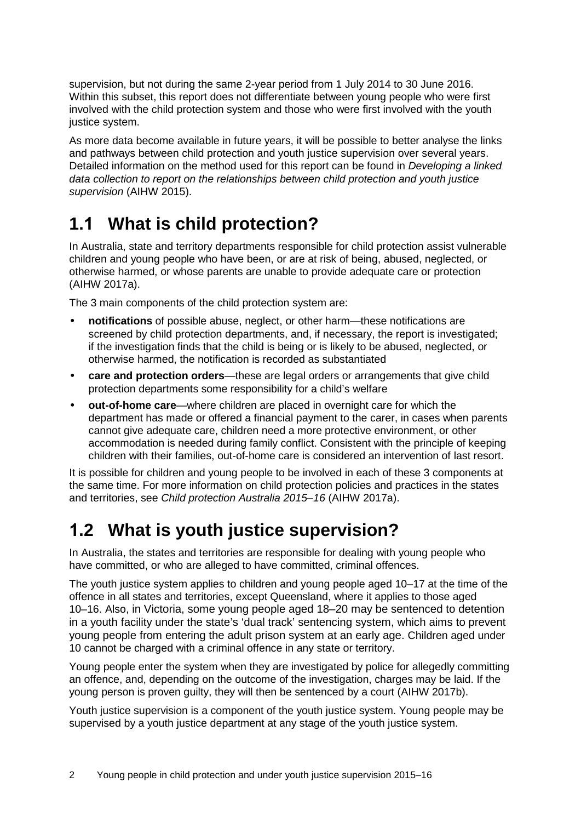supervision, but not during the same 2-year period from 1 July 2014 to 30 June 2016. Within this subset, this report does not differentiate between young people who were first involved with the child protection system and those who were first involved with the youth justice system.

As more data become available in future years, it will be possible to better analyse the links and pathways between child protection and youth justice supervision over several years. Detailed information on the method used for this report can be found in *Developing a linked data collection to report on the relationships between child protection and youth justice supervision* (AIHW 2015).

### <span id="page-9-0"></span>**1.1 What is child protection?**

In Australia, state and territory departments responsible for child protection assist vulnerable children and young people who have been, or are at risk of being, abused, neglected, or otherwise harmed, or whose parents are unable to provide adequate care or protection (AIHW 2017a).

The 3 main components of the child protection system are:

- **notifications** of possible abuse, neglect, or other harm—these notifications are screened by child protection departments, and, if necessary, the report is investigated; if the investigation finds that the child is being or is likely to be abused, neglected, or otherwise harmed, the notification is recorded as substantiated
- **care and protection orders**—these are legal orders or arrangements that give child protection departments some responsibility for a child's welfare
- **out-of-home care**—where children are placed in overnight care for which the department has made or offered a financial payment to the carer, in cases when parents cannot give adequate care, children need a more protective environment, or other accommodation is needed during family conflict. Consistent with the principle of keeping children with their families, out-of-home care is considered an intervention of last resort.

It is possible for children and young people to be involved in each of these 3 components at the same time. For more information on child protection policies and practices in the states and territories, see *Child protection Australia 2015–16* (AIHW 2017a).

## <span id="page-9-1"></span>**1.2 What is youth justice supervision?**

In Australia, the states and territories are responsible for dealing with young people who have committed, or who are alleged to have committed, criminal offences.

The youth justice system applies to children and young people aged 10–17 at the time of the offence in all states and territories, except Queensland, where it applies to those aged 10–16. Also, in Victoria, some young people aged 18–20 may be sentenced to detention in a youth facility under the state's 'dual track' sentencing system, which aims to prevent young people from entering the adult prison system at an early age. Children aged under 10 cannot be charged with a criminal offence in any state or territory.

Young people enter the system when they are investigated by police for allegedly committing an offence, and, depending on the outcome of the investigation, charges may be laid. If the young person is proven guilty, they will then be sentenced by a court (AIHW 2017b).

Youth justice supervision is a component of the youth justice system. Young people may be supervised by a youth justice department at any stage of the youth justice system.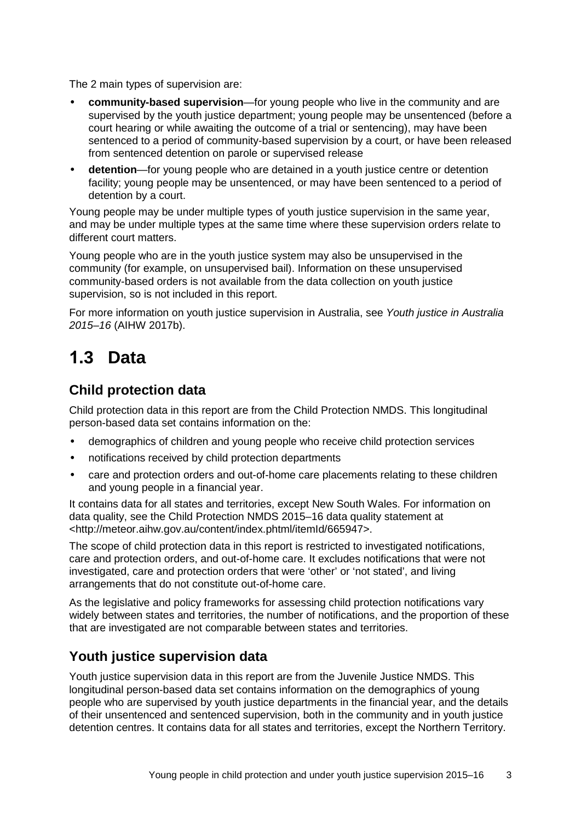The 2 main types of supervision are:

- **community-based supervision**—for young people who live in the community and are supervised by the youth justice department; young people may be unsentenced (before a court hearing or while awaiting the outcome of a trial or sentencing), may have been sentenced to a period of community-based supervision by a court, or have been released from sentenced detention on parole or supervised release
- **detention**—for young people who are detained in a youth justice centre or detention facility; young people may be unsentenced, or may have been sentenced to a period of detention by a court.

Young people may be under multiple types of youth justice supervision in the same year, and may be under multiple types at the same time where these supervision orders relate to different court matters.

Young people who are in the youth justice system may also be unsupervised in the community (for example, on unsupervised bail). Information on these unsupervised community-based orders is not available from the data collection on youth justice supervision, so is not included in this report.

For more information on youth justice supervision in Australia, see *Youth justice in Australia 2015–16* (AIHW 2017b).

### <span id="page-10-0"></span>**1.3 Data**

### <span id="page-10-1"></span>**Child protection data**

Child protection data in this report are from the Child Protection NMDS. This longitudinal person-based data set contains information on the:

- demographics of children and young people who receive child protection services
- notifications received by child protection departments
- care and protection orders and out-of-home care placements relating to these children and young people in a financial year.

It contains data for all states and territories, except New South Wales. For information on data quality, see the Child Protection NMDS 2015–16 data quality statement at <http://meteor.aihw.gov.au/content/index.phtml/itemId/665947>.

The scope of child protection data in this report is restricted to investigated notifications, care and protection orders, and out-of-home care. It excludes notifications that were not investigated, care and protection orders that were 'other' or 'not stated', and living arrangements that do not constitute out-of-home care.

As the legislative and policy frameworks for assessing child protection notifications vary widely between states and territories, the number of notifications, and the proportion of these that are investigated are not comparable between states and territories.

### <span id="page-10-2"></span>**Youth justice supervision data**

Youth justice supervision data in this report are from the Juvenile Justice NMDS. This longitudinal person-based data set contains information on the demographics of young people who are supervised by youth justice departments in the financial year, and the details of their unsentenced and sentenced supervision, both in the community and in youth justice detention centres. It contains data for all states and territories, except the Northern Territory.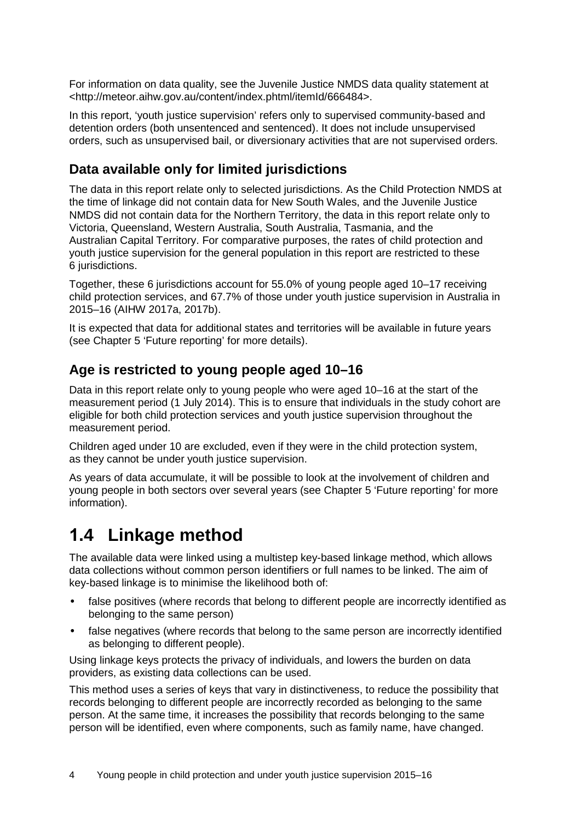For information on data quality, see the Juvenile Justice NMDS data quality statement at <http://meteor.aihw.gov.au/content/index.phtml/itemId/666484>.

In this report, 'youth justice supervision' refers only to supervised community-based and detention orders (both unsentenced and sentenced). It does not include unsupervised orders, such as unsupervised bail, or diversionary activities that are not supervised orders.

### <span id="page-11-0"></span>**Data available only for limited jurisdictions**

The data in this report relate only to selected jurisdictions. As the Child Protection NMDS at the time of linkage did not contain data for New South Wales, and the Juvenile Justice NMDS did not contain data for the Northern Territory, the data in this report relate only to Victoria, Queensland, Western Australia, South Australia, Tasmania, and the Australian Capital Territory. For comparative purposes, the rates of child protection and youth justice supervision for the general population in this report are restricted to these 6 jurisdictions.

Together, these 6 jurisdictions account for 55.0% of young people aged 10–17 receiving child protection services, and 67.7% of those under youth justice supervision in Australia in 2015–16 (AIHW 2017a, 2017b).

It is expected that data for additional states and territories will be available in future years (see Chapter 5 'Future reporting' for more details).

### <span id="page-11-1"></span>**Age is restricted to young people aged 10–16**

Data in this report relate only to young people who were aged 10–16 at the start of the measurement period (1 July 2014). This is to ensure that individuals in the study cohort are eligible for both child protection services and youth justice supervision throughout the measurement period.

Children aged under 10 are excluded, even if they were in the child protection system, as they cannot be under youth justice supervision.

As years of data accumulate, it will be possible to look at the involvement of children and young people in both sectors over several years (see Chapter 5 'Future reporting' for more information).

### <span id="page-11-2"></span>**1.4 Linkage method**

The available data were linked using a multistep key-based linkage method, which allows data collections without common person identifiers or full names to be linked. The aim of key-based linkage is to minimise the likelihood both of:

- false positives (where records that belong to different people are incorrectly identified as belonging to the same person)
- false negatives (where records that belong to the same person are incorrectly identified as belonging to different people).

Using linkage keys protects the privacy of individuals, and lowers the burden on data providers, as existing data collections can be used.

This method uses a series of keys that vary in distinctiveness, to reduce the possibility that records belonging to different people are incorrectly recorded as belonging to the same person. At the same time, it increases the possibility that records belonging to the same person will be identified, even where components, such as family name, have changed.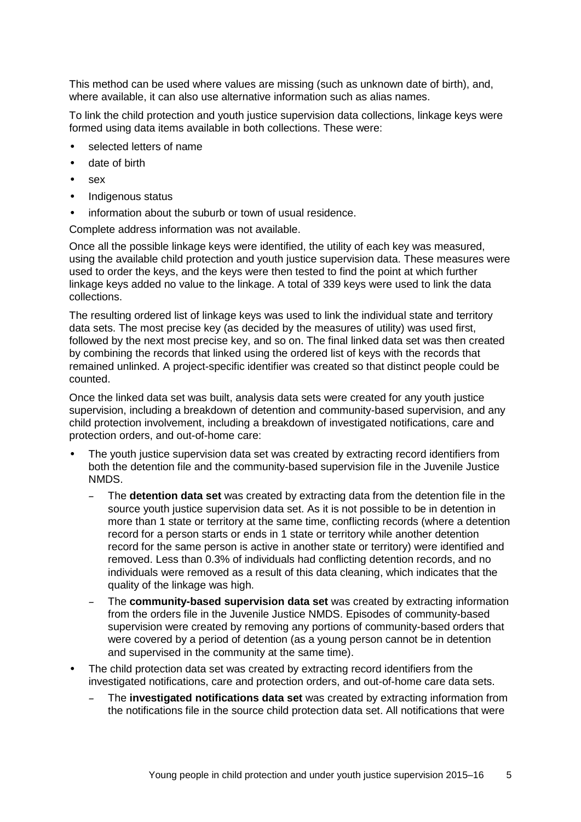This method can be used where values are missing (such as unknown date of birth), and, where available, it can also use alternative information such as alias names.

To link the child protection and youth justice supervision data collections, linkage keys were formed using data items available in both collections. These were:

- selected letters of name
- date of birth
- sex
- Indigenous status
- information about the suburb or town of usual residence.

Complete address information was not available.

Once all the possible linkage keys were identified, the utility of each key was measured, using the available child protection and youth justice supervision data. These measures were used to order the keys, and the keys were then tested to find the point at which further linkage keys added no value to the linkage. A total of 339 keys were used to link the data collections.

The resulting ordered list of linkage keys was used to link the individual state and territory data sets. The most precise key (as decided by the measures of utility) was used first, followed by the next most precise key, and so on. The final linked data set was then created by combining the records that linked using the ordered list of keys with the records that remained unlinked. A project-specific identifier was created so that distinct people could be counted.

Once the linked data set was built, analysis data sets were created for any youth justice supervision, including a breakdown of detention and community-based supervision, and any child protection involvement, including a breakdown of investigated notifications, care and protection orders, and out-of-home care:

- The youth justice supervision data set was created by extracting record identifiers from both the detention file and the community-based supervision file in the Juvenile Justice NMDS.
	- The **detention data set** was created by extracting data from the detention file in the source youth justice supervision data set. As it is not possible to be in detention in more than 1 state or territory at the same time, conflicting records (where a detention record for a person starts or ends in 1 state or territory while another detention record for the same person is active in another state or territory) were identified and removed. Less than 0.3% of individuals had conflicting detention records, and no individuals were removed as a result of this data cleaning, which indicates that the quality of the linkage was high.
	- The **community-based supervision data set** was created by extracting information from the orders file in the Juvenile Justice NMDS. Episodes of community-based supervision were created by removing any portions of community-based orders that were covered by a period of detention (as a young person cannot be in detention and supervised in the community at the same time).
- The child protection data set was created by extracting record identifiers from the investigated notifications, care and protection orders, and out-of-home care data sets.
	- The **investigated notifications data set** was created by extracting information from the notifications file in the source child protection data set. All notifications that were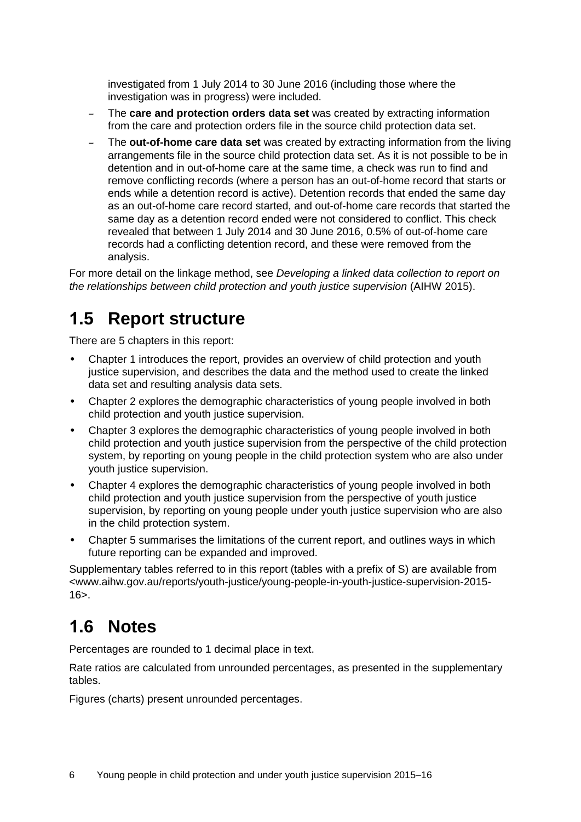investigated from 1 July 2014 to 30 June 2016 (including those where the investigation was in progress) were included.

- The **care and protection orders data set** was created by extracting information from the care and protection orders file in the source child protection data set.
- The **out-of-home care data set** was created by extracting information from the living arrangements file in the source child protection data set. As it is not possible to be in detention and in out-of-home care at the same time, a check was run to find and remove conflicting records (where a person has an out-of-home record that starts or ends while a detention record is active). Detention records that ended the same day as an out-of-home care record started, and out-of-home care records that started the same day as a detention record ended were not considered to conflict. This check revealed that between 1 July 2014 and 30 June 2016, 0.5% of out-of-home care records had a conflicting detention record, and these were removed from the analysis.

For more detail on the linkage method, see *Developing a linked data collection to report on the relationships between child protection and youth justice supervision* (AIHW 2015).

### <span id="page-13-0"></span>**1.5 Report structure**

There are 5 chapters in this report:

- Chapter 1 introduces the report, provides an overview of child protection and youth justice supervision, and describes the data and the method used to create the linked data set and resulting analysis data sets.
- Chapter 2 explores the demographic characteristics of young people involved in both child protection and youth justice supervision.
- Chapter 3 explores the demographic characteristics of young people involved in both child protection and youth justice supervision from the perspective of the child protection system, by reporting on young people in the child protection system who are also under youth justice supervision.
- Chapter 4 explores the demographic characteristics of young people involved in both child protection and youth justice supervision from the perspective of youth justice supervision, by reporting on young people under youth justice supervision who are also in the child protection system.
- Chapter 5 summarises the limitations of the current report, and outlines ways in which future reporting can be expanded and improved.

Supplementary tables referred to in this report (tables with a prefix of S) are available from <www.aihw.gov.au/reports/youth-justice/young-people-in-youth-justice-supervision-2015-  $16$  $>$ .

### <span id="page-13-1"></span>**1.6 Notes**

Percentages are rounded to 1 decimal place in text.

Rate ratios are calculated from unrounded percentages, as presented in the supplementary tables.

Figures (charts) present unrounded percentages.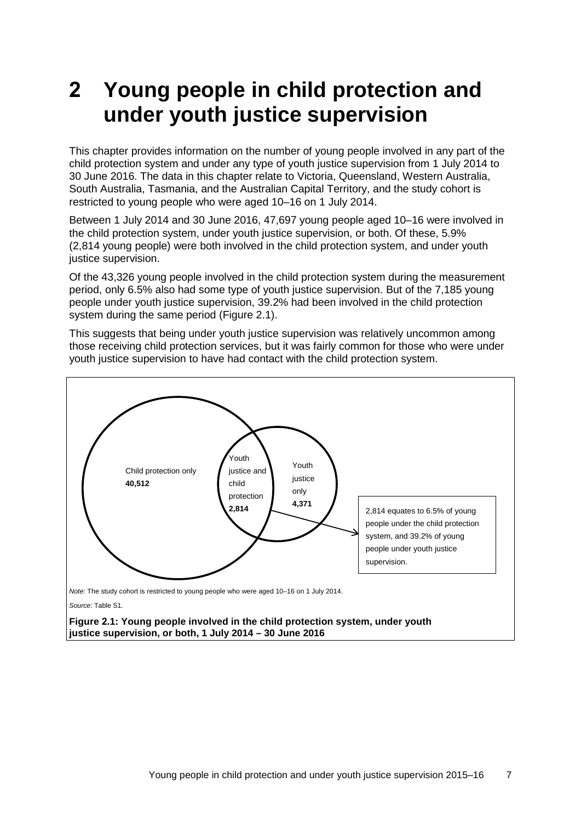## <span id="page-14-0"></span>**2 Young people in child protection and under youth justice supervision**

This chapter provides information on the number of young people involved in any part of the child protection system and under any type of youth justice supervision from 1 July 2014 to 30 June 2016. The data in this chapter relate to Victoria, Queensland, Western Australia, South Australia, Tasmania, and the Australian Capital Territory, and the study cohort is restricted to young people who were aged 10–16 on 1 July 2014.

Between 1 July 2014 and 30 June 2016, 47,697 young people aged 10–16 were involved in the child protection system, under youth justice supervision, or both. Of these, 5.9% (2,814 young people) were both involved in the child protection system, and under youth justice supervision.

Of the 43,326 young people involved in the child protection system during the measurement period, only 6.5% also had some type of youth justice supervision. But of the 7,185 young people under youth justice supervision, 39.2% had been involved in the child protection system during the same period (Figure 2.1).

This suggests that being under youth justice supervision was relatively uncommon among those receiving child protection services, but it was fairly common for those who were under youth justice supervision to have had contact with the child protection system.



<span id="page-14-1"></span>**Figure 2.1: Young people involved in the child protection system, under youth justice supervision, or both, 1 July 2014 – 30 June 2016**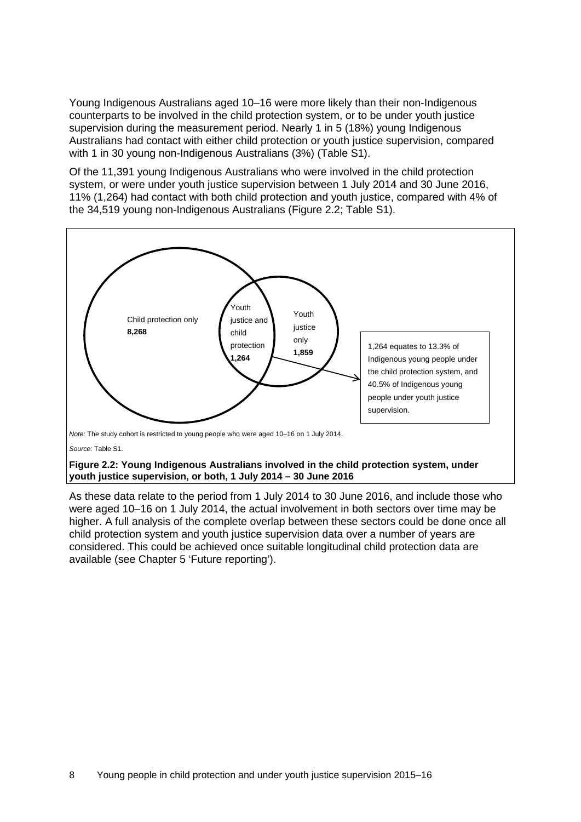Young Indigenous Australians aged 10–16 were more likely than their non-Indigenous counterparts to be involved in the child protection system, or to be under youth justice supervision during the measurement period. Nearly 1 in 5 (18%) young Indigenous Australians had contact with either child protection or youth justice supervision, compared with 1 in 30 young non-Indigenous Australians (3%) (Table S1).

Of the 11,391 young Indigenous Australians who were involved in the child protection system, or were under youth justice supervision between 1 July 2014 and 30 June 2016, 11% (1,264) had contact with both child protection and youth justice, compared with 4% of the 34,519 young non-Indigenous Australians (Figure 2.2; Table S1).



#### <span id="page-15-0"></span>**Figure 2.2: Young Indigenous Australians involved in the child protection system, under youth justice supervision, or both, 1 July 2014 – 30 June 2016**

As these data relate to the period from 1 July 2014 to 30 June 2016, and include those who were aged 10–16 on 1 July 2014, the actual involvement in both sectors over time may be higher. A full analysis of the complete overlap between these sectors could be done once all child protection system and youth justice supervision data over a number of years are considered. This could be achieved once suitable longitudinal child protection data are available (see Chapter 5 'Future reporting').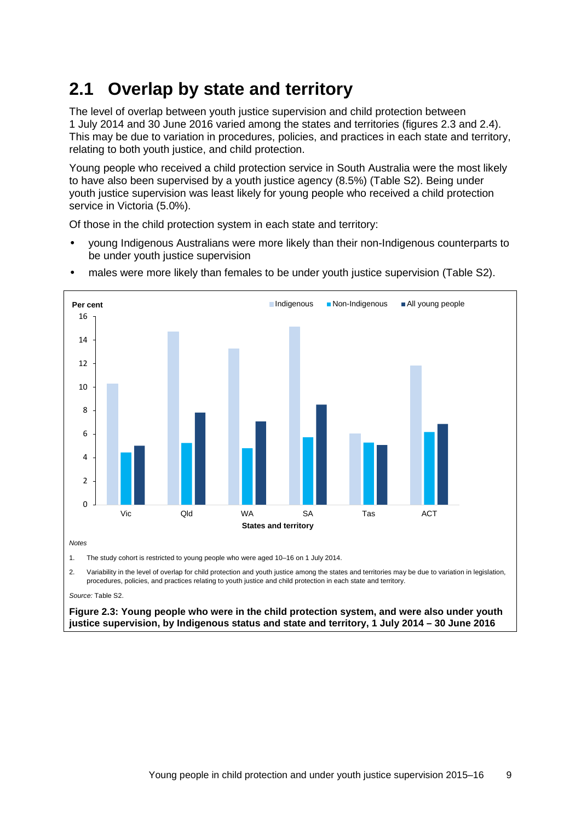## <span id="page-16-0"></span>**2.1 Overlap by state and territory**

The level of overlap between youth justice supervision and child protection between 1 July 2014 and 30 June 2016 varied among the states and territories (figures 2.3 and 2.4). This may be due to variation in procedures, policies, and practices in each state and territory, relating to both youth justice, and child protection.

Young people who received a child protection service in South Australia were the most likely to have also been supervised by a youth justice agency (8.5%) [\(Table S2\)](#page-32-2). Being under youth justice supervision was least likely for young people who received a child protection service in Victoria (5.0%).

Of those in the child protection system in each state and territory:

• young Indigenous Australians were more likely than their non-Indigenous counterparts to be under youth justice supervision



• males were more likely than females to be under youth justice supervision [\(Table S2\)](#page-32-2).

2. Variability in the level of overlap for child protection and youth justice among the states and territories may be due to variation in legislation, procedures, policies, and practices relating to youth justice and child protection in each state and territory.

*Source:* [Table S2.](#page-32-2) 

<span id="page-16-1"></span>**Figure 2.3: Young people who were in the child protection system, and were also under youth justice supervision, by Indigenous status and state and territory, 1 July 2014 – 30 June 2016**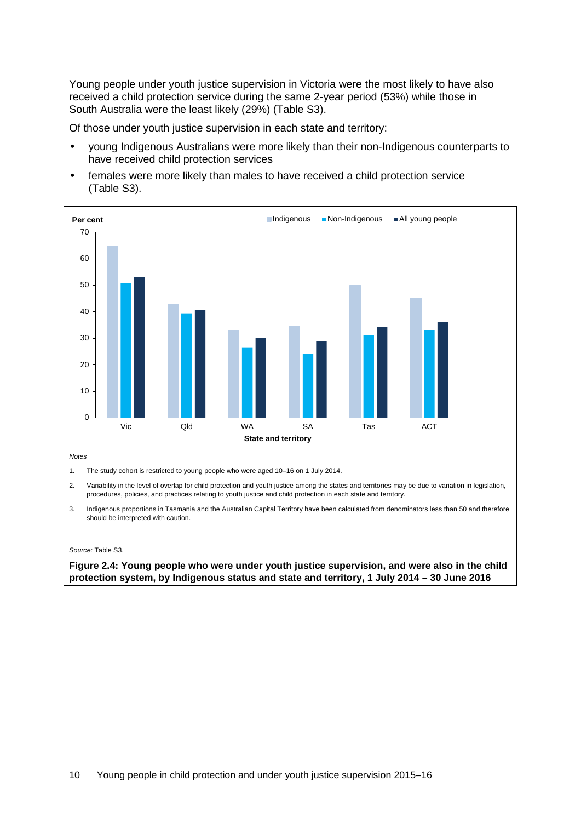Young people under youth justice supervision in Victoria were the most likely to have also received a child protection service during the same 2-year period (53%) while those in South Australia were the least likely (29%) [\(Table S3\)](#page-32-3).

Of those under youth justice supervision in each state and territory:

- young Indigenous Australians were more likely than their non-Indigenous counterparts to have received child protection services
- females were more likely than males to have received a child protection service [\(Table S3\)](#page-32-3).



3. Indigenous proportions in Tasmania and the Australian Capital Territory have been calculated from denominators less than 50 and therefore should be interpreted with caution.

#### *Source:* [Table S3.](#page-32-3)

#### <span id="page-17-0"></span>**Figure 2.4: Young people who were under youth justice supervision, and were also in the child protection system, by Indigenous status and state and territory, 1 July 2014 – 30 June 2016**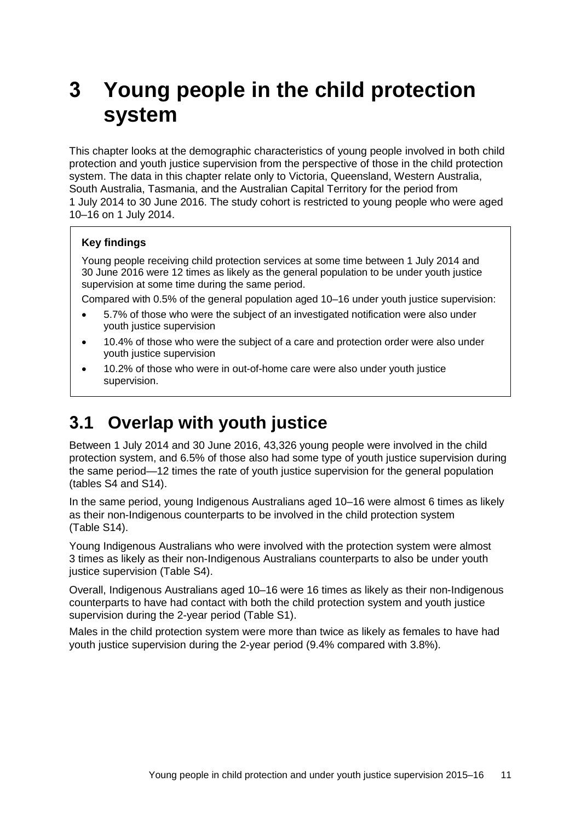## <span id="page-18-0"></span>**3 Young people in the child protection system**

This chapter looks at the demographic characteristics of young people involved in both child protection and youth justice supervision from the perspective of those in the child protection system. The data in this chapter relate only to Victoria, Queensland, Western Australia, South Australia, Tasmania, and the Australian Capital Territory for the period from 1 July 2014 to 30 June 2016. The study cohort is restricted to young people who were aged 10–16 on 1 July 2014.

#### **Key findings**

Young people receiving child protection services at some time between 1 July 2014 and 30 June 2016 were 12 times as likely as the general population to be under youth justice supervision at some time during the same period.

Compared with 0.5% of the general population aged 10–16 under youth justice supervision:

- 5.7% of those who were the subject of an investigated notification were also under youth justice supervision
- 10.4% of those who were the subject of a care and protection order were also under youth justice supervision
- 10.2% of those who were in out-of-home care were also under youth justice supervision.

### <span id="page-18-1"></span>**3.1 Overlap with youth justice**

Between 1 July 2014 and 30 June 2016, 43,326 young people were involved in the child protection system, and 6.5% of those also had some type of youth justice supervision during the same period—12 times the rate of youth justice supervision for the general population (tables S4 and S14).

In the same period, young Indigenous Australians aged 10–16 were almost 6 times as likely as their non-Indigenous counterparts to be involved in the child protection system (Table S14).

Young Indigenous Australians who were involved with the protection system were almost 3 times as likely as their non-Indigenous Australians counterparts to also be under youth justice supervision (Table S4).

Overall, Indigenous Australians aged 10–16 were 16 times as likely as their non-Indigenous counterparts to have had contact with both the child protection system and youth justice supervision during the 2-year period (Table S1).

Males in the child protection system were more than twice as likely as females to have had youth justice supervision during the 2-year period (9.4% compared with 3.8%).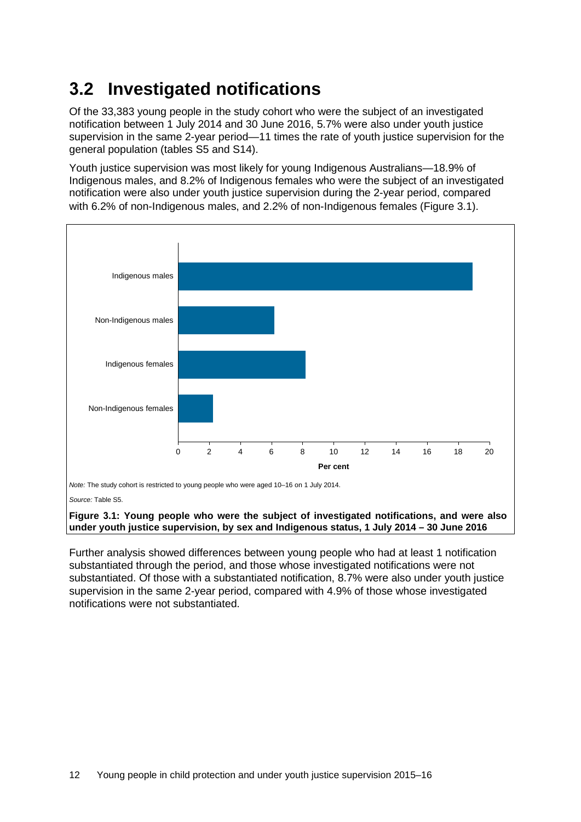## <span id="page-19-0"></span>**3.2 Investigated notifications**

Of the 33,383 young people in the study cohort who were the subject of an investigated notification between 1 July 2014 and 30 June 2016, 5.7% were also under youth justice supervision in the same 2-year period—11 times the rate of youth justice supervision for the general population (tables S5 and S14).

Youth justice supervision was most likely for young Indigenous Australians—18.9% of Indigenous males, and 8.2% of Indigenous females who were the subject of an investigated notification were also under youth justice supervision during the 2-year period, compared with 6.2% of non-Indigenous males, and 2.2% of non-Indigenous females [\(Figure 3.1](#page-19-1)).



*Note:* The study cohort is restricted to young people who were aged 10–16 on 1 July 2014.

*Source:* [Table S5.](#page-32-4) 

#### <span id="page-19-1"></span>**Figure 3.1: Young people who were the subject of investigated notifications, and were also under youth justice supervision, by sex and Indigenous status, 1 July 2014 – 30 June 2016**

Further analysis showed differences between young people who had at least 1 notification substantiated through the period, and those whose investigated notifications were not substantiated. Of those with a substantiated notification, 8.7% were also under youth justice supervision in the same 2-year period, compared with 4.9% of those whose investigated notifications were not substantiated.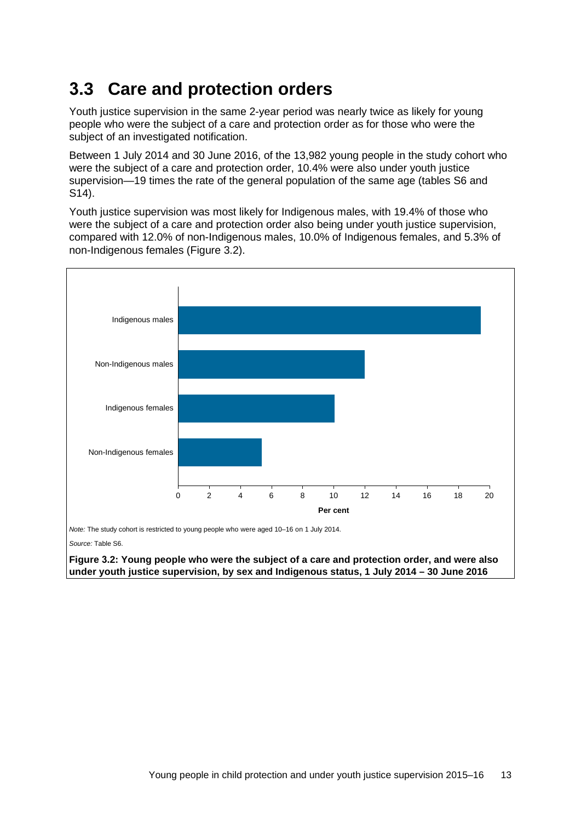## <span id="page-20-0"></span>**3.3 Care and protection orders**

Youth justice supervision in the same 2-year period was nearly twice as likely for young people who were the subject of a care and protection order as for those who were the subject of an investigated notification.

Between 1 July 2014 and 30 June 2016, of the 13,982 young people in the study cohort who were the subject of a care and protection order, 10.4% were also under youth justice supervision—19 times the rate of the general population of the same age (tables S6 and S14).

Youth justice supervision was most likely for Indigenous males, with 19.4% of those who were the subject of a care and protection order also being under youth justice supervision, compared with 12.0% of non-Indigenous males, 10.0% of Indigenous females, and 5.3% of non-Indigenous females [\(Figure 3.2\)](#page-20-1).



*Source:* [Table S6.](#page-32-5) 

<span id="page-20-1"></span>**Figure 3.2: Young people who were the subject of a care and protection order, and were also under youth justice supervision, by sex and Indigenous status, 1 July 2014 – 30 June 2016**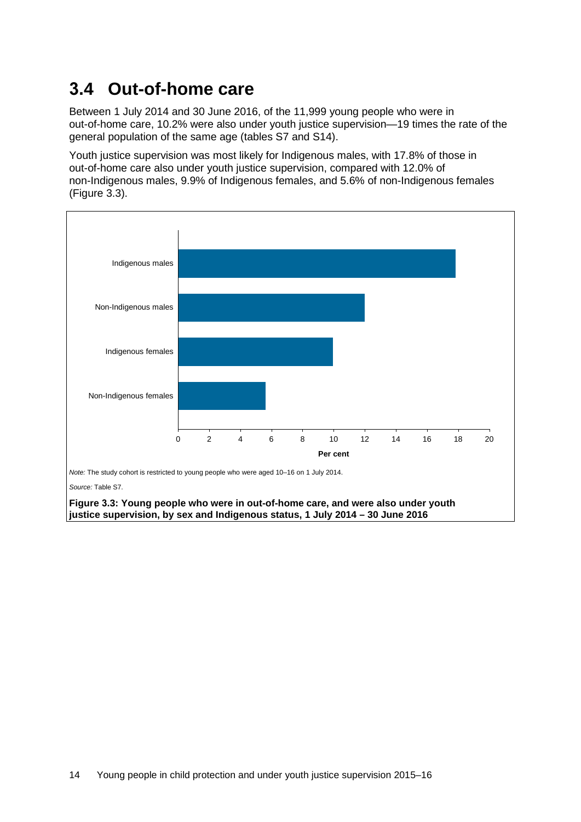## <span id="page-21-0"></span>**3.4 Out-of-home care**

Between 1 July 2014 and 30 June 2016, of the 11,999 young people who were in out-of-home care, 10.2% were also under youth justice supervision—19 times the rate of the general population of the same age (tables S7 and S14).

Youth justice supervision was most likely for Indigenous males, with 17.8% of those in out-of-home care also under youth justice supervision, compared with 12.0% of non-Indigenous males, 9.9% of Indigenous females, and 5.6% of non-Indigenous females [\(Figure 3.3\)](#page-21-1).



<span id="page-21-1"></span>**Figure 3.3: Young people who were in out-of-home care, and were also under youth justice supervision, by sex and Indigenous status, 1 July 2014 – 30 June 2016**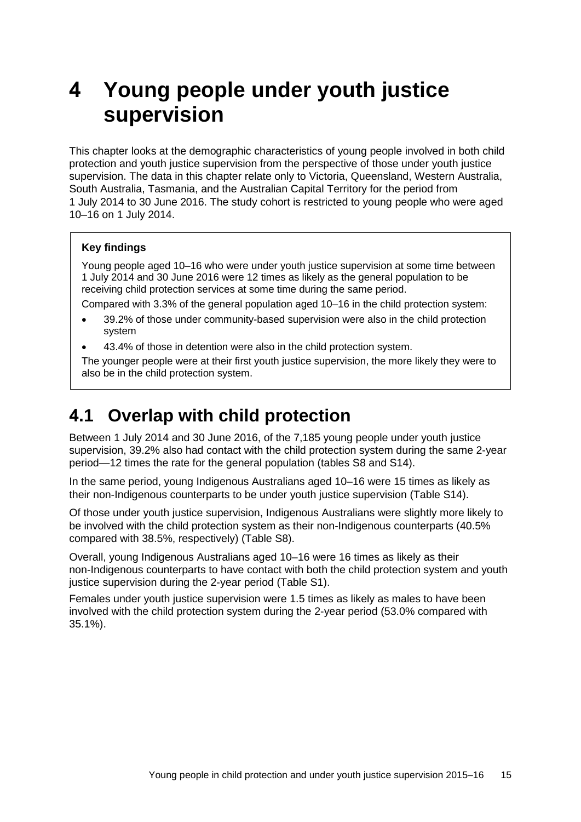## <span id="page-22-0"></span>**4 Young people under youth justice supervision**

This chapter looks at the demographic characteristics of young people involved in both child protection and youth justice supervision from the perspective of those under youth justice supervision. The data in this chapter relate only to Victoria, Queensland, Western Australia, South Australia, Tasmania, and the Australian Capital Territory for the period from 1 July 2014 to 30 June 2016. The study cohort is restricted to young people who were aged 10–16 on 1 July 2014.

#### **Key findings**

Young people aged 10–16 who were under youth justice supervision at some time between 1 July 2014 and 30 June 2016 were 12 times as likely as the general population to be receiving child protection services at some time during the same period.

Compared with 3.3% of the general population aged 10–16 in the child protection system:

- 39.2% of those under community-based supervision were also in the child protection system
- 43.4% of those in detention were also in the child protection system.

The younger people were at their first youth justice supervision, the more likely they were to also be in the child protection system.

### <span id="page-22-1"></span>**4.1 Overlap with child protection**

Between 1 July 2014 and 30 June 2016, of the 7,185 young people under youth justice supervision, 39.2% also had contact with the child protection system during the same 2-year period—12 times the rate for the general population (tables S8 and S14).

In the same period, young Indigenous Australians aged 10–16 were 15 times as likely as their non-Indigenous counterparts to be under youth justice supervision (Table S14).

Of those under youth justice supervision, Indigenous Australians were slightly more likely to be involved with the child protection system as their non-Indigenous counterparts (40.5% compared with 38.5%, respectively) (Table S8).

Overall, young Indigenous Australians aged 10–16 were 16 times as likely as their non-Indigenous counterparts to have contact with both the child protection system and youth justice supervision during the 2-year period (Table S1).

Females under youth justice supervision were 1.5 times as likely as males to have been involved with the child protection system during the 2-year period (53.0% compared with 35.1%).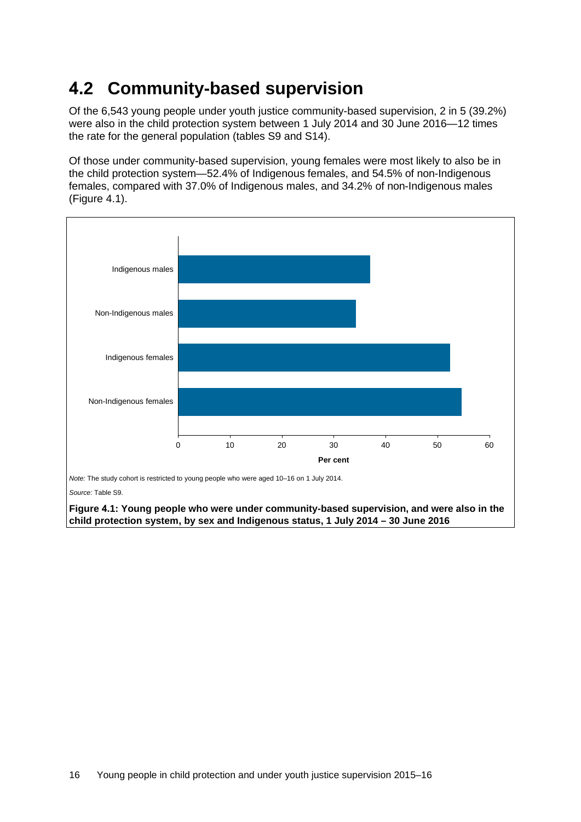### <span id="page-23-0"></span>**4.2 Community-based supervision**

Of the 6,543 young people under youth justice community-based supervision, 2 in 5 (39.2%) were also in the child protection system between 1 July 2014 and 30 June 2016—12 times the rate for the general population (tables S9 and S14).

Of those under community-based supervision, young females were most likely to also be in the child protection system—52.4% of Indigenous females, and 54.5% of non-Indigenous females, compared with 37.0% of Indigenous males, and 34.2% of non-Indigenous males [\(Figure 4.1\)](#page-23-1).



*Note:* The study cohort is restricted to young people who were aged 10–16 on 1 July 2014.

*Source:* [Table S9.](#page-32-7) 

<span id="page-23-1"></span>**Figure 4.1: Young people who were under community-based supervision, and were also in the child protection system, by sex and Indigenous status, 1 July 2014 – 30 June 2016**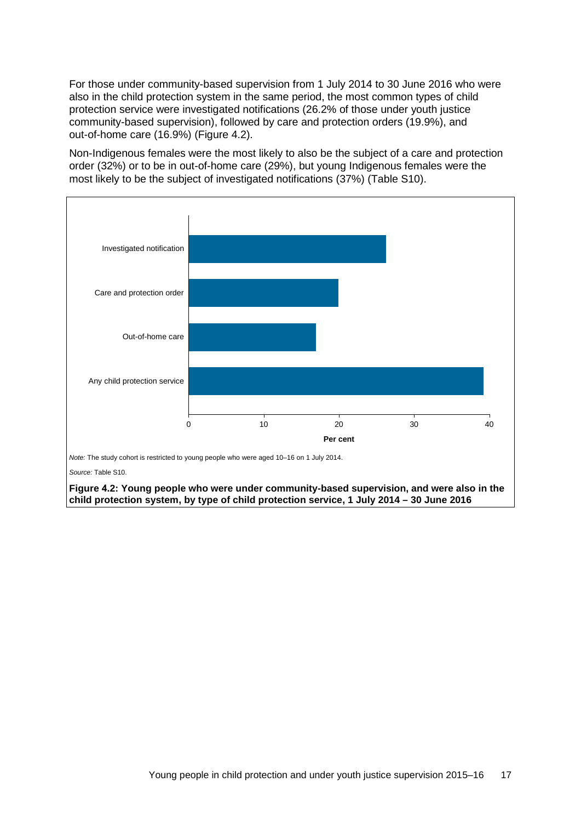For those under community-based supervision from 1 July 2014 to 30 June 2016 who were also in the child protection system in the same period, the most common types of child protection service were investigated notifications (26.2% of those under youth justice community-based supervision), followed by care and protection orders (19.9%), and out-of-home care (16.9%) [\(Figure 4.2\)](#page-24-0).

Non-Indigenous females were the most likely to also be the subject of a care and protection order (32%) or to be in out-of-home care (29%), but young Indigenous females were the most likely to be the subject of investigated notifications (37%) [\(Table S10\)](#page-32-8).



*Source:* [Table S10.](#page-32-8) 

<span id="page-24-0"></span>**Figure 4.2: Young people who were under community-based supervision, and were also in the child protection system, by type of child protection service, 1 July 2014 – 30 June 2016**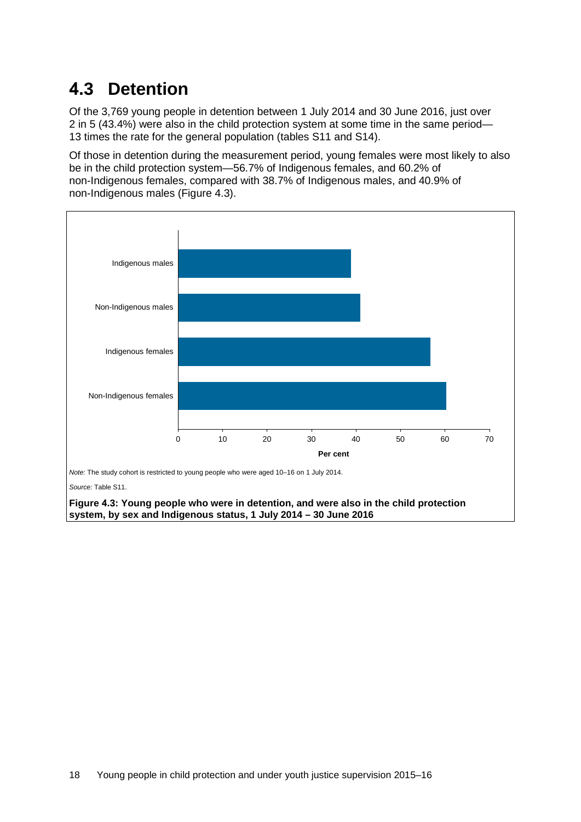## <span id="page-25-0"></span>**4.3 Detention**

Of the 3,769 young people in detention between 1 July 2014 and 30 June 2016, just over 2 in 5 (43.4%) were also in the child protection system at some time in the same period— 13 times the rate for the general population (tables S11 and S14).

Of those in detention during the measurement period, young females were most likely to also be in the child protection system—56.7% of Indigenous females, and 60.2% of non-Indigenous females, compared with 38.7% of Indigenous males, and 40.9% of non-Indigenous males (Figure 4.3).



*Source:* [Table S11.](#page-32-9) 

<span id="page-25-1"></span>**Figure 4.3: Young people who were in detention, and were also in the child protection system, by sex and Indigenous status, 1 July 2014 – 30 June 2016**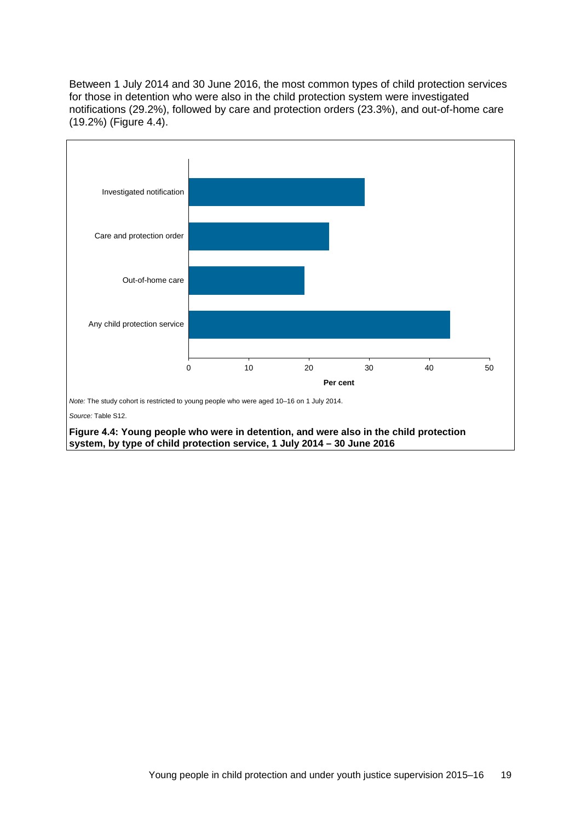Between 1 July 2014 and 30 June 2016, the most common types of child protection services for those in detention who were also in the child protection system were investigated notifications (29.2%), followed by care and protection orders (23.3%), and out-of-home care (19.2%) [\(Figure 4.4\)](#page-26-0).



<span id="page-26-0"></span>**system, by type of child protection service, 1 July 2014 – 30 June 2016**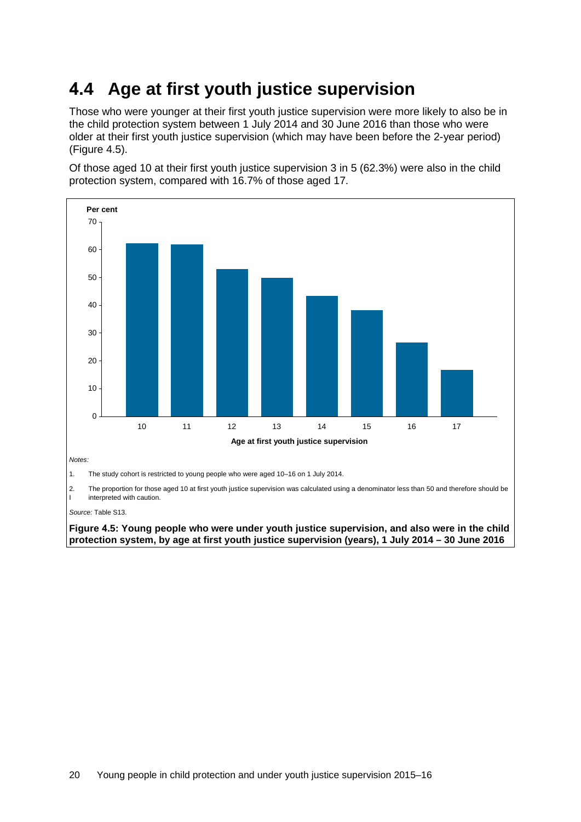## <span id="page-27-0"></span>**4.4 Age at first youth justice supervision**

Those who were younger at their first youth justice supervision were more likely to also be in the child protection system between 1 July 2014 and 30 June 2016 than those who were older at their first youth justice supervision (which may have been before the 2-year period) [\(Figure 4.5\).](#page-27-1)

Of those aged 10 at their first youth justice supervision 3 in 5 (62.3%) were also in the child protection system, compared with 16.7% of those aged 17.



2. The proportion for those aged 10 at first youth justice supervision was calculated using a denominator less than 50 and therefore should be interpreted with caution.

*Source:* [Table S13.](#page-32-11) 

<span id="page-27-1"></span>**Figure 4.5: Young people who were under youth justice supervision, and also were in the child protection system, by age at first youth justice supervision (years), 1 July 2014 – 30 June 2016**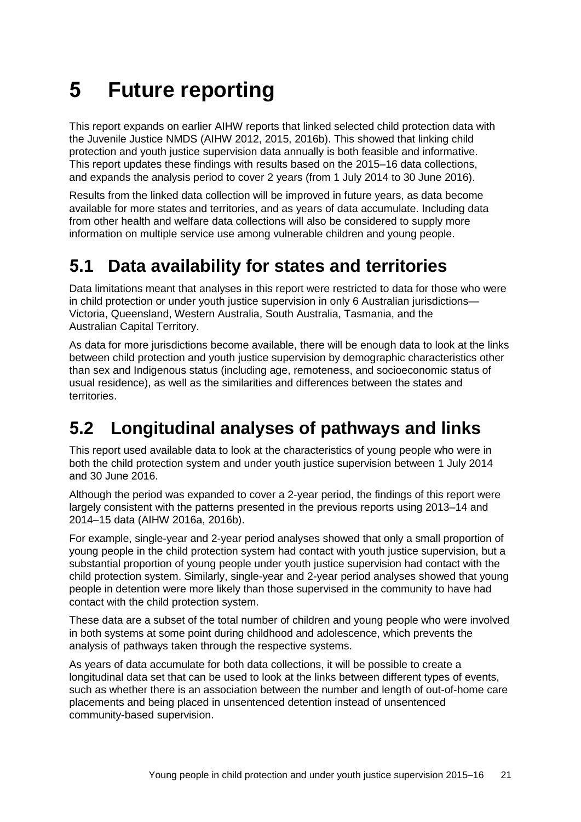# <span id="page-28-0"></span>**5 Future reporting**

This report expands on earlier AIHW reports that linked selected child protection data with the Juvenile Justice NMDS (AIHW 2012, 2015, 2016b). This showed that linking child protection and youth justice supervision data annually is both feasible and informative. This report updates these findings with results based on the 2015–16 data collections, and expands the analysis period to cover 2 years (from 1 July 2014 to 30 June 2016).

Results from the linked data collection will be improved in future years, as data become available for more states and territories, and as years of data accumulate. Including data from other health and welfare data collections will also be considered to supply more information on multiple service use among vulnerable children and young people.

### <span id="page-28-1"></span>**5.1 Data availability for states and territories**

Data limitations meant that analyses in this report were restricted to data for those who were in child protection or under youth justice supervision in only 6 Australian jurisdictions— Victoria, Queensland, Western Australia, South Australia, Tasmania, and the Australian Capital Territory.

As data for more jurisdictions become available, there will be enough data to look at the links between child protection and youth justice supervision by demographic characteristics other than sex and Indigenous status (including age, remoteness, and socioeconomic status of usual residence), as well as the similarities and differences between the states and territories.

## <span id="page-28-2"></span>**5.2 Longitudinal analyses of pathways and links**

This report used available data to look at the characteristics of young people who were in both the child protection system and under youth justice supervision between 1 July 2014 and 30 June 2016.

Although the period was expanded to cover a 2-year period, the findings of this report were largely consistent with the patterns presented in the previous reports using 2013–14 and 2014–15 data (AIHW 2016a, 2016b).

For example, single-year and 2-year period analyses showed that only a small proportion of young people in the child protection system had contact with youth justice supervision, but a substantial proportion of young people under youth justice supervision had contact with the child protection system. Similarly, single-year and 2-year period analyses showed that young people in detention were more likely than those supervised in the community to have had contact with the child protection system.

These data are a subset of the total number of children and young people who were involved in both systems at some point during childhood and adolescence, which prevents the analysis of pathways taken through the respective systems.

As years of data accumulate for both data collections, it will be possible to create a longitudinal data set that can be used to look at the links between different types of events, such as whether there is an association between the number and length of out-of-home care placements and being placed in unsentenced detention instead of unsentenced community-based supervision.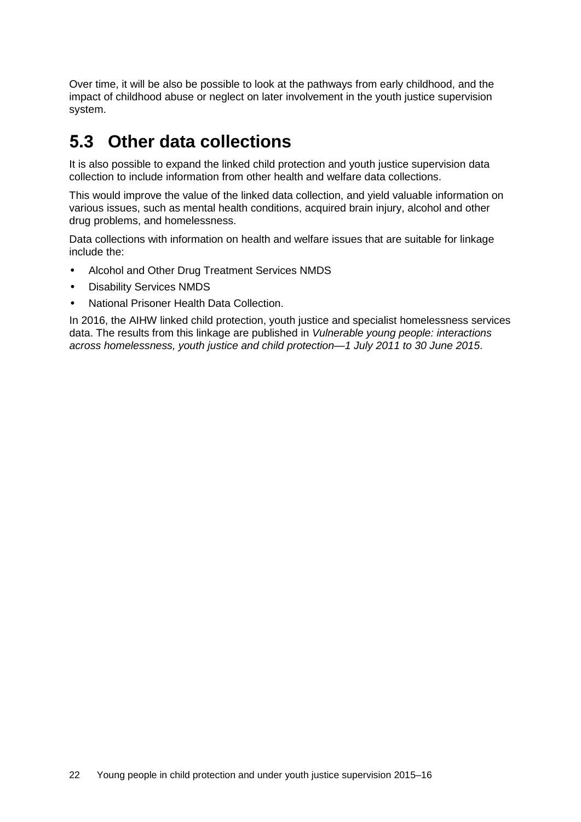Over time, it will be also be possible to look at the pathways from early childhood, and the impact of childhood abuse or neglect on later involvement in the youth justice supervision system.

### <span id="page-29-0"></span>**5.3 Other data collections**

It is also possible to expand the linked child protection and youth justice supervision data collection to include information from other health and welfare data collections.

This would improve the value of the linked data collection, and yield valuable information on various issues, such as mental health conditions, acquired brain injury, alcohol and other drug problems, and homelessness.

Data collections with information on health and welfare issues that are suitable for linkage include the:

- Alcohol and Other Drug Treatment Services NMDS
- Disability Services NMDS
- National Prisoner Health Data Collection.

In 2016, the AIHW linked child protection, youth justice and specialist homelessness services data. The results from this linkage are published in *Vulnerable young people: interactions across homelessness, youth justice and child protection—1 July 2011 to 30 June 2015*.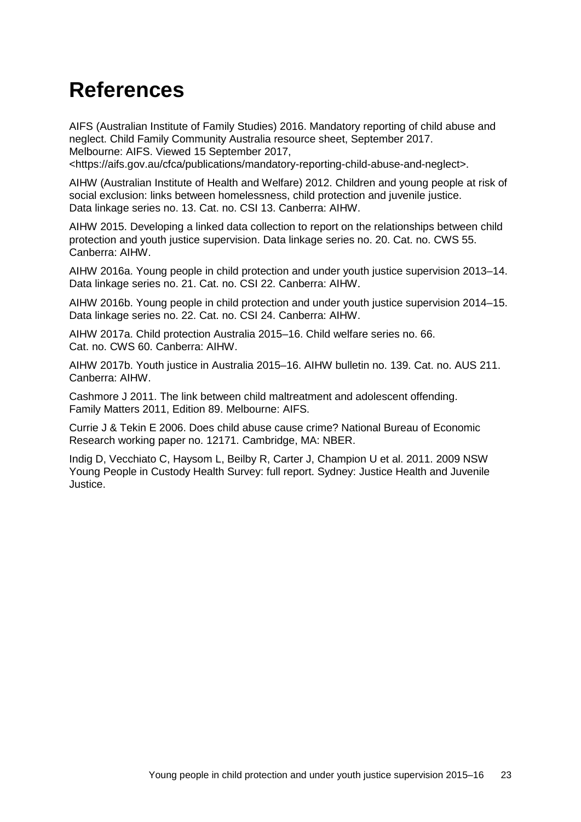## <span id="page-30-0"></span>**References**

AIFS (Australian Institute of Family Studies) 2016. Mandatory reporting of child abuse and neglect. Child Family Community Australia resource sheet, September 2017. Melbourne: AIFS. Viewed 15 September 2017, <https://aifs.gov.au/cfca/publications/mandatory-reporting-child-abuse-and-neglect>.

AIHW (Australian Institute of Health and Welfare) 2012. Children and young people at risk of social exclusion: links between homelessness, child protection and juvenile justice. Data linkage series no. 13. Cat. no. CSI 13. Canberra: AIHW.

AIHW 2015. Developing a linked data collection to report on the relationships between child protection and youth justice supervision. Data linkage series no. 20. Cat. no. CWS 55. Canberra: AIHW.

AIHW 2016a. Young people in child protection and under youth justice supervision 2013–14. Data linkage series no. 21. Cat. no. CSI 22. Canberra: AIHW.

AIHW 2016b. Young people in child protection and under youth justice supervision 2014–15. Data linkage series no. 22. Cat. no. CSI 24. Canberra: AIHW.

AIHW 2017a. Child protection Australia 2015–16. Child welfare series no. 66. Cat. no. CWS 60. Canberra: AIHW.

AIHW 2017b. Youth justice in Australia 2015–16. AIHW bulletin no. 139. Cat. no. AUS 211. Canberra: AIHW.

Cashmore J 2011. The link between child maltreatment and adolescent offending. Family Matters 2011, Edition 89. Melbourne: AIFS.

Currie J & Tekin E 2006. Does child abuse cause crime? National Bureau of Economic Research working paper no. 12171. Cambridge, MA: NBER.

Indig D, Vecchiato C, Haysom L, Beilby R, Carter J, Champion U et al. 2011. 2009 NSW Young People in Custody Health Survey: full report. Sydney: Justice Health and Juvenile Justice.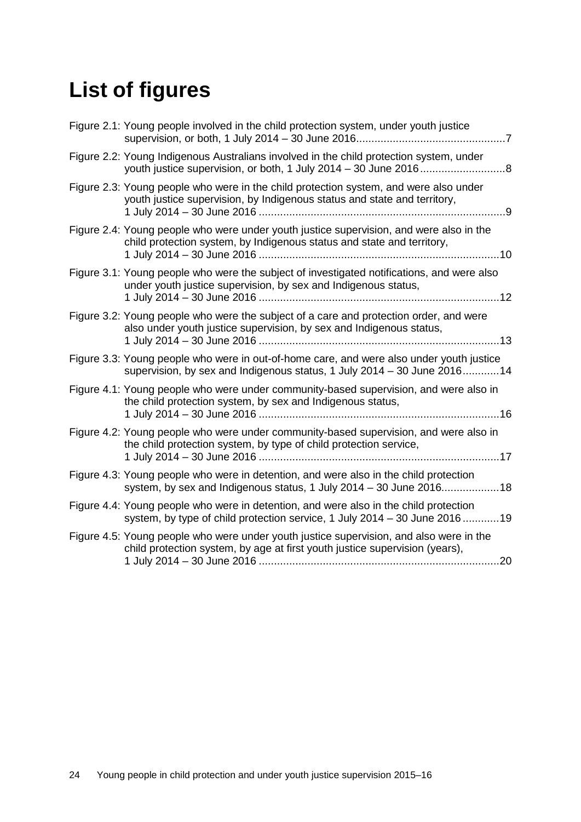# <span id="page-31-0"></span>**List of figures**

| Figure 2.1: Young people involved in the child protection system, under youth justice<br>$\ldots 7$                                                                           |
|-------------------------------------------------------------------------------------------------------------------------------------------------------------------------------|
| Figure 2.2: Young Indigenous Australians involved in the child protection system, under                                                                                       |
| Figure 2.3: Young people who were in the child protection system, and were also under<br>youth justice supervision, by Indigenous status and state and territory,<br>. 9      |
| Figure 2.4: Young people who were under youth justice supervision, and were also in the<br>child protection system, by Indigenous status and state and territory,<br>.10      |
| Figure 3.1: Young people who were the subject of investigated notifications, and were also<br>under youth justice supervision, by sex and Indigenous status,<br>.12           |
| Figure 3.2: Young people who were the subject of a care and protection order, and were<br>also under youth justice supervision, by sex and Indigenous status,                 |
| Figure 3.3: Young people who were in out-of-home care, and were also under youth justice<br>supervision, by sex and Indigenous status, 1 July 2014 - 30 June 201614           |
| Figure 4.1: Young people who were under community-based supervision, and were also in<br>the child protection system, by sex and Indigenous status,<br>16                     |
| Figure 4.2: Young people who were under community-based supervision, and were also in<br>the child protection system, by type of child protection service,                    |
| Figure 4.3: Young people who were in detention, and were also in the child protection<br>system, by sex and Indigenous status, 1 July 2014 - 30 June 201618                   |
| Figure 4.4: Young people who were in detention, and were also in the child protection<br>system, by type of child protection service, 1 July 2014 - 30 June 201619            |
| Figure 4.5: Young people who were under youth justice supervision, and also were in the<br>child protection system, by age at first youth justice supervision (years),<br>.20 |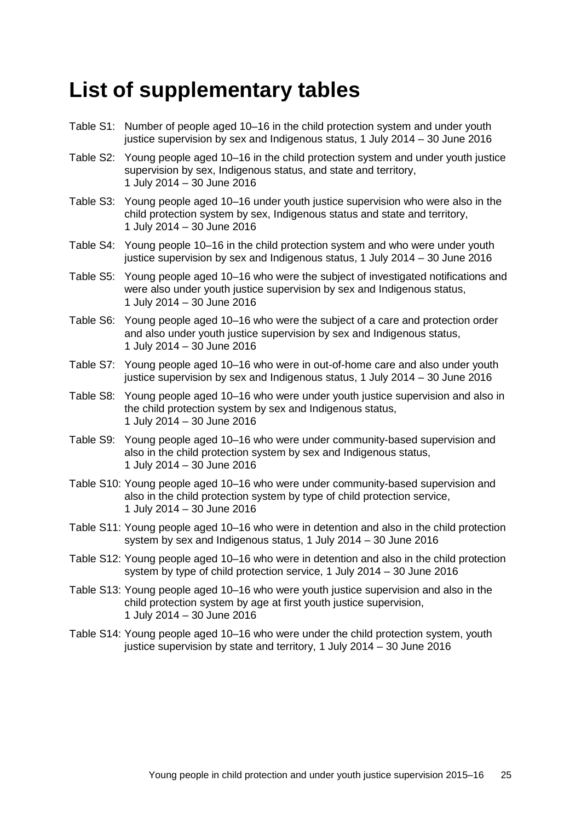## <span id="page-32-0"></span>**List of supplementary tables**

- <span id="page-32-1"></span>Table S1: Number of people aged 10–16 in the child protection system and under youth justice supervision by sex and Indigenous status, 1 July 2014 – 30 June 2016
- <span id="page-32-2"></span>Table S2: Young people aged 10–16 in the child protection system and under youth justice supervision by sex, Indigenous status, and state and territory, 1 July 2014 – 30 June 2016
- <span id="page-32-3"></span>Table S3: Young people aged 10–16 under youth justice supervision who were also in the child protection system by sex, Indigenous status and state and territory, 1 July 2014 – 30 June 2016
- Table S4: Young people 10–16 in the child protection system and who were under youth justice supervision by sex and Indigenous status, 1 July 2014 – 30 June 2016
- <span id="page-32-4"></span>Table S5: Young people aged 10–16 who were the subject of investigated notifications and were also under youth justice supervision by sex and Indigenous status, 1 July 2014 – 30 June 2016
- <span id="page-32-5"></span>Table S6: Young people aged 10–16 who were the subject of a care and protection order and also under youth justice supervision by sex and Indigenous status, 1 July 2014 – 30 June 2016
- <span id="page-32-6"></span>Table S7: Young people aged 10–16 who were in out-of-home care and also under youth justice supervision by sex and Indigenous status, 1 July 2014 – 30 June 2016
- Table S8: Young people aged 10–16 who were under youth justice supervision and also in the child protection system by sex and Indigenous status, 1 July 2014 – 30 June 2016
- <span id="page-32-7"></span>Table S9: Young people aged 10–16 who were under community-based supervision and also in the child protection system by sex and Indigenous status, 1 July 2014 – 30 June 2016
- <span id="page-32-8"></span>Table S10: Young people aged 10–16 who were under community-based supervision and also in the child protection system by type of child protection service, 1 July 2014 – 30 June 2016
- <span id="page-32-9"></span>Table S11: Young people aged 10–16 who were in detention and also in the child protection system by sex and Indigenous status, 1 July 2014 – 30 June 2016
- <span id="page-32-10"></span>Table S12: Young people aged 10–16 who were in detention and also in the child protection system by type of child protection service, 1 July 2014 – 30 June 2016
- <span id="page-32-11"></span>Table S13: Young people aged 10–16 who were youth justice supervision and also in the child protection system by age at first youth justice supervision, 1 July 2014 – 30 June 2016
- Table S14: Young people aged 10–16 who were under the child protection system, youth justice supervision by state and territory, 1 July 2014 – 30 June 2016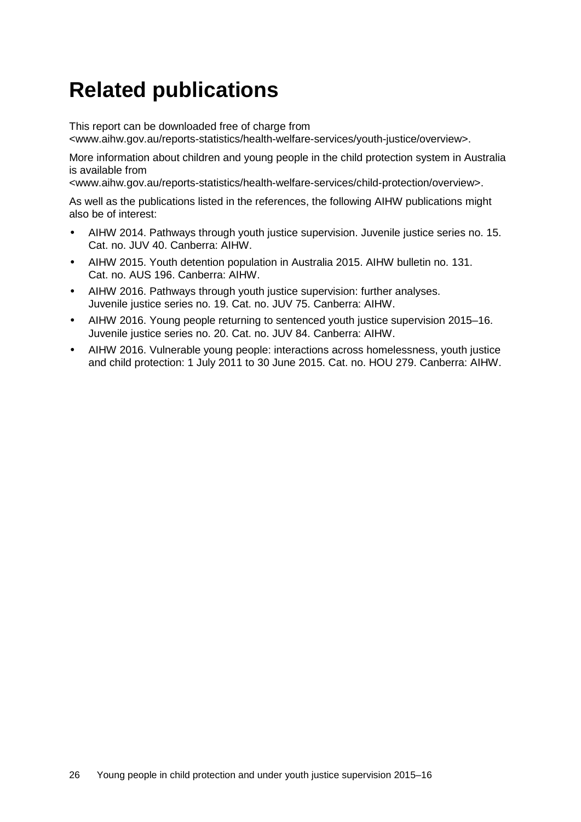## <span id="page-33-0"></span>**Related publications**

This report can be downloaded free of charge from

<www.aihw.gov.au/reports-statistics/health-welfare-services/youth-justice/overview>.

More information about children and young people in the child protection system in Australia is available from

<www.aihw.gov.au/reports-statistics/health-welfare-services/child-protection/overview>.

As well as the publications listed in the references, the following AIHW publications might also be of interest:

- AIHW 2014. Pathways through youth justice supervision. Juvenile justice series no. 15. Cat. no. JUV 40. Canberra: AIHW.
- AIHW 2015. Youth detention population in Australia 2015. AIHW bulletin no. 131. Cat. no. AUS 196. Canberra: AIHW.
- AIHW 2016. Pathways through youth justice supervision: further analyses. Juvenile justice series no. 19. Cat. no. JUV 75. Canberra: AIHW.
- AIHW 2016. Young people returning to sentenced youth justice supervision 2015–16. Juvenile justice series no. 20. Cat. no. JUV 84. Canberra: AIHW.
- AIHW 2016. Vulnerable young people: interactions across homelessness, youth justice and child protection: 1 July 2011 to 30 June 2015. Cat. no. HOU 279. Canberra: AIHW.